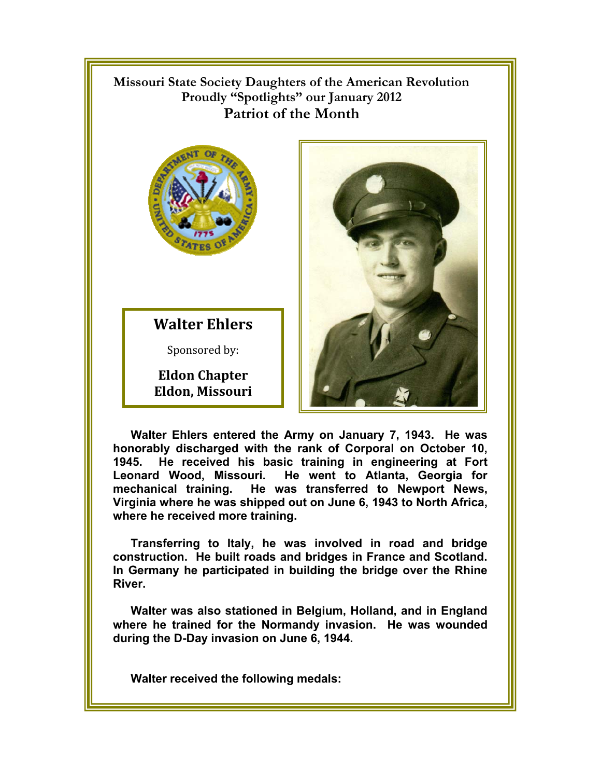## !!!!!!!!! **Missouri State Society Daughters of the American Revolution Proudly "Spotlights" our January 2012 Patriot of the Month**



**Walter Ehlers**

Sponsored by:

**Eldon Chapter Eldon, Missouri** 



**Walter Ehlers entered the Army on January 7, 1943. He was honorably discharged with the rank of Corporal on October 10, 1945. He received his basic training in engineering at Fort Leonard Wood, Missouri. He went to Atlanta, Georgia for mechanical training. He was transferred to Newport News, Virginia where he was shipped out on June 6, 1943 to North Africa, where he received more training.** 

**Transferring to Italy, he was involved in road and bridge construction. He built roads and bridges in France and Scotland. In Germany he participated in building the bridge over the Rhine River.** 

**Walter was also stationed in Belgium, Holland, and in England where he trained for the Normandy invasion. He was wounded during the D-Day invasion on June 6, 1944.** 

**Walter received the following medals:**